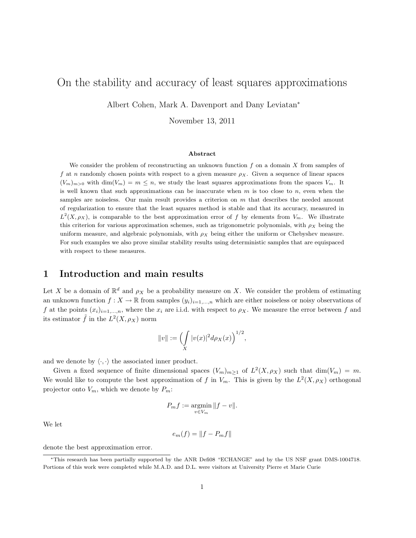# On the stability and accuracy of least squares approximations

Albert Cohen, Mark A. Davenport and Dany Leviatan<sup>∗</sup>

November 13, 2011

#### Abstract

We consider the problem of reconstructing an unknown function  $f$  on a domain  $X$  from samples of f at n randomly chosen points with respect to a given measure  $\rho_X$ . Given a sequence of linear spaces  $(V_m)_{m>0}$  with  $\dim(V_m) = m \leq n$ , we study the least squares approximations from the spaces  $V_m$ . It is well known that such approximations can be inaccurate when  $m$  is too close to  $n$ , even when the samples are noiseless. Our main result provides a criterion on  $m$  that describes the needed amount of regularization to ensure that the least squares method is stable and that its accuracy, measured in  $L^2(X,\rho_X)$ , is comparable to the best approximation error of f by elements from  $V_m$ . We illustrate this criterion for various approximation schemes, such as trigonometric polynomials, with  $\rho_X$  being the uniform measure, and algebraic polynomials, with  $\rho_X$  being either the uniform or Chebyshev measure. For such examples we also prove similar stability results using deterministic samples that are equispaced with respect to these measures.

### 1 Introduction and main results

Let X be a domain of  $\mathbb{R}^d$  and  $\rho_X$  be a probability measure on X. We consider the problem of estimating an unknown function  $f: X \to \mathbb{R}$  from samples  $(y_i)_{i=1,\dots,n}$  which are either noiseless or noisy observations of f at the points  $(x_i)_{i=1,\ldots,n}$ , where the  $x_i$  are i.i.d. with respect to  $\rho_X$ . We measure the error between f and its estimator  $\tilde{f}$  in the  $L^2(X, \rho_X)$  norm

$$
||v|| := \left(\int\limits_X |v(x)|^2 d\rho_X(x)\right)^{1/2},\,
$$

and we denote by  $\langle \cdot, \cdot \rangle$  the associated inner product.

Given a fixed sequence of finite dimensional spaces  $(V_m)_{m\geq 1}$  of  $L^2(X, \rho_X)$  such that  $\dim(V_m) = m$ . We would like to compute the best approximation of f in  $V_m$ . This is given by the  $L^2(X, \rho_X)$  orthogonal projector onto  $V_m$ , which we denote by  $P_m$ :

$$
P_m f := \operatorname*{argmin}_{v \in V_m} ||f - v||.
$$

We let

$$
e_m(f) = \|f - P_m f\|
$$

denote the best approximation error.

<sup>∗</sup>This research has been partially supported by the ANR Defi08 "ECHANGE" and by the US NSF grant DMS-1004718. Portions of this work were completed while M.A.D. and D.L. were visitors at University Pierre et Marie Curie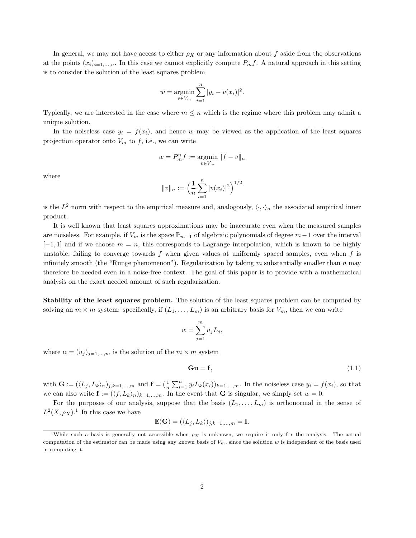In general, we may not have access to either  $\rho_X$  or any information about f aside from the observations at the points  $(x_i)_{i=1,\ldots,n}$ . In this case we cannot explicitly compute  $P_m f$ . A natural approach in this setting is to consider the solution of the least squares problem

$$
w = \underset{v \in V_m}{\text{argmin}} \sum_{i=1}^{n} |y_i - v(x_i)|^2.
$$

Typically, we are interested in the case where  $m \leq n$  which is the regime where this problem may admit a unique solution.

In the noiseless case  $y_i = f(x_i)$ , and hence w may be viewed as the application of the least squares projection operator onto  $V_m$  to f, i.e., we can write

$$
w=P_m^n f:=\operatornamewithlimits{argmin}_{v\in V_m}\|f-v\|_n
$$

where

$$
||v||_n := \left(\frac{1}{n}\sum_{i=1}^n |v(x_i)|^2\right)^{1/2}
$$

is the  $L^2$  norm with respect to the empirical measure and, analogously,  $\langle \cdot, \cdot \rangle_n$  the associated empirical inner product.

It is well known that least squares approximations may be inaccurate even when the measured samples are noiseless. For example, if  $V_m$  is the space  $\mathbb{P}_{m-1}$  of algebraic polynomials of degree  $m-1$  over the interval  $[-1, 1]$  and if we choose  $m = n$ , this corresponds to Lagrange interpolation, which is known to be highly unstable, failing to converge towards  $f$  when given values at uniformly spaced samples, even when  $f$  is infinitely smooth (the "Runge phenomenon"). Regularization by taking m substantially smaller than n may therefore be needed even in a noise-free context. The goal of this paper is to provide with a mathematical analysis on the exact needed amount of such regularization.

Stability of the least squares problem. The solution of the least squares problem can be computed by solving an  $m \times m$  system: specifically, if  $(L_1, \ldots, L_m)$  is an arbitrary basis for  $V_m$ , then we can write

$$
w = \sum_{j=1}^{m} u_j L_j,
$$

where  $\mathbf{u} = (u_i)_{i=1,\dots,m}$  is the solution of the  $m \times m$  system

$$
\mathbf{Gu} = \mathbf{f},\tag{1.1}
$$

with  $\mathbf{G} := (\langle L_j, L_k \rangle_n)_{j,k=1,\dots,m}$  and  $\mathbf{f} = (\frac{1}{n} \sum_{i=1}^n y_i L_k(x_i))_{k=1,\dots,m}$ . In the noiseless case  $y_i = f(x_i)$ , so that we can also write  $\mathbf{f} := (\langle f, L_k \rangle_n)_{k=1,\dots,m}$ . In the event that G is singular, we simply set  $w = 0$ .

For the purposes of our analysis, suppose that the basis  $(L_1, \ldots, L_m)$  is orthonormal in the sense of  $L^2(X,\rho_X).$ <sup>1</sup> In this case we have

$$
\mathbb{E}(\mathbf{G}) = (\langle L_j, L_k \rangle)_{j,k=1,\dots,m} = \mathbf{I}.
$$

<sup>&</sup>lt;sup>1</sup>While such a basis is generally not accessible when  $\rho_X$  is unknown, we require it only for the analysis. The actual computation of the estimator can be made using any known basis of  $V_m$ , since the solution w is independent of the basis used in computing it.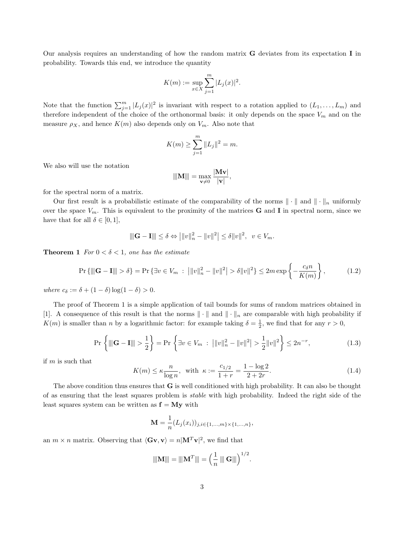Our analysis requires an understanding of how the random matrix G deviates from its expectation I in probability. Towards this end, we introduce the quantity

$$
K(m) := \sup_{x \in X} \sum_{j=1}^{m} |L_j(x)|^2.
$$

Note that the function  $\sum_{j=1}^m |L_j(x)|^2$  is invariant with respect to a rotation applied to  $(L_1, \ldots, L_m)$  and therefore independent of the choice of the orthonormal basis: it only depends on the space  $V_m$  and on the measure  $\rho_X$ , and hence  $K(m)$  also depends only on  $V_m$ . Also note that

$$
K(m) \ge \sum_{j=1}^{m} \|L_j\|^2 = m.
$$

We also will use the notation

$$
\|\hspace{-0.04cm}|\mathbf{M}|\hspace{-0.04cm}|\hspace{-0.04cm}|=\max_{\mathbf{v}\neq 0}\frac{|\mathbf{M}\mathbf{v}|}{|\mathbf{v}|},
$$

for the spectral norm of a matrix.

Our first result is a probabilistic estimate of the comparability of the norms  $\|\cdot\|$  and  $\|\cdot\|_n$  uniformly over the space  $V_m$ . This is equivalent to the proximity of the matrices **G** and **I** in spectral norm, since we have that for all  $\delta \in [0, 1]$ ,

$$
\|\mathbf{G} - \mathbf{I}\| \le \delta \Leftrightarrow \left| \|v\|_n^2 - \|v\|^2 \right| \le \delta \|v\|^2, \ \ v \in V_m.
$$

**Theorem 1** For  $0 < \delta < 1$ , one has the estimate

$$
\Pr\left\{\|\|\mathbf{G}-\mathbf{I}\|\|>\delta\right\} = \Pr\left\{\exists v \in V_m \;:\; \left|\|v\|_n^2 - \|v\|^2\right| > \delta \|v\|^2\right\} \le 2m \exp\left\{-\frac{c_\delta n}{K(m)}\right\},\tag{1.2}
$$

where  $c_{\delta} := \delta + (1 - \delta) \log(1 - \delta) > 0$ .

The proof of Theorem 1 is a simple application of tail bounds for sums of random matrices obtained in [1]. A consequence of this result is that the norms  $\|\cdot\|$  and  $\|\cdot\|_n$  are comparable with high probability if  $K(m)$  is smaller than n by a logarithmic factor: for example taking  $\delta = \frac{1}{2}$ , we find that for any  $r > 0$ ,

$$
\Pr\left\{\|\mathbf{G} - \mathbf{I}\| > \frac{1}{2}\right\} = \Pr\left\{\exists v \in V_m \; : \; \left|\|v\|_n^2 - \|v\|^2\right| > \frac{1}{2}\|v\|^2\right\} \le 2n^{-r},\tag{1.3}
$$

if m is such that

$$
K(m) \le \kappa \frac{n}{\log n}, \text{ with } \kappa := \frac{c_{1/2}}{1+r} = \frac{1-\log 2}{2+2r}.
$$
 (1.4)

.

The above condition thus ensures that G is well conditioned with high probability. It can also be thought of as ensuring that the least squares problem is stable with high probability. Indeed the right side of the least squares system can be written as  $f = My$  with

$$
\mathbf{M} = \frac{1}{n} (L_j(x_i))_{j,i \in \{1,\dots,m\} \times \{1,\dots,n\}},
$$

an  $m \times n$  matrix. Observing that  $\langle \mathbf{Gv}, \mathbf{v} \rangle = n |\mathbf{M}^T \mathbf{v}|^2$ , we find that

$$
\|\mathbf{M}\| = \|\mathbf{M}^T\| = \left(\frac{1}{n} \|\mathbf{G}\|\right)^{1/2}
$$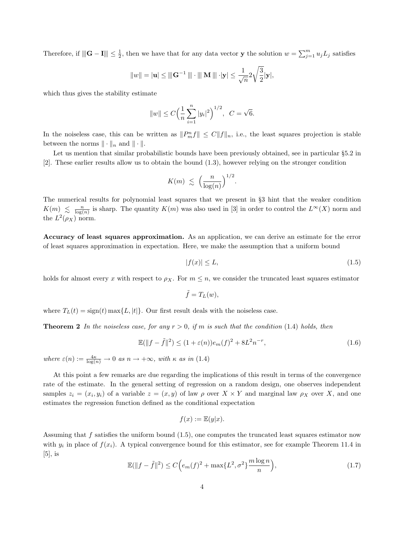Therefore, if  $\|\mathbf{G} - \mathbf{I}\| \leq \frac{1}{2}$ , then we have that for any data vector **y** the solution  $w = \sum_{j=1}^{m} u_j L_j$  satisfies

$$
||w|| = |\mathbf{u}| \le |||\mathbf{G}^{-1}||| \cdot |||\mathbf{M}||| \cdot |\mathbf{y}| \le \frac{1}{\sqrt{n}} 2\sqrt{\frac{3}{2}}|\mathbf{y}|,
$$

which thus gives the stability estimate

$$
||w|| \le C \left(\frac{1}{n} \sum_{i=1}^{n} |y_i|^2\right)^{1/2}, \quad C = \sqrt{6}.
$$

In the noiseless case, this can be written as  $||P_m^n f|| \leq C ||f||_n$ , i.e., the least squares projection is stable between the norms  $\|\cdot\|_n$  and  $\|\cdot\|.$ 

Let us mention that similar probabilistic bounds have been previously obtained, see in particular §5.2 in [2]. These earlier results allow us to obtain the bound (1.3), however relying on the stronger condition

$$
K(m) \leqslant \left(\frac{n}{\log(n)}\right)^{1/2}.
$$

The numerical results for polynomial least squares that we present in §3 hint that the weaker condition  $K(m) \leq \frac{n}{\log(n)}$  is sharp. The quantity  $K(m)$  was also used in [3] in order to control the  $L^{\infty}(X)$  norm and the  $L^2(\rho_X)$  norm.

Accuracy of least squares approximation. As an application, we can derive an estimate for the error of least squares approximation in expectation. Here, we make the assumption that a uniform bound

$$
|f(x)| \le L,\tag{1.5}
$$

holds for almost every x with respect to  $\rho_X$ . For  $m \leq n$ , we consider the truncated least squares estimator

$$
\tilde{f} = T_L(w),
$$

where  $T_L(t) = sign(t) \max\{L, |t|\}$ . Our first result deals with the noiseless case.

**Theorem 2** In the noiseless case, for any  $r > 0$ , if m is such that the condition (1.4) holds, then

$$
\mathbb{E}(\|f - \tilde{f}\|^2) \le (1 + \varepsilon(n))e_m(f)^2 + 8L^2n^{-r},\tag{1.6}
$$

where  $\varepsilon(n) := \frac{4\kappa}{\log(n)} \to 0$  as  $n \to +\infty$ , with  $\kappa$  as in (1.4)

At this point a few remarks are due regarding the implications of this result in terms of the convergence rate of the estimate. In the general setting of regression on a random design, one observes independent samples  $z_i = (x_i, y_i)$  of a variable  $z = (x, y)$  of law  $\rho$  over  $X \times Y$  and marginal law  $\rho_X$  over X, and one estimates the regression function defined as the conditional expectation

$$
f(x) := \mathbb{E}(y|x).
$$

Assuming that f satisfies the uniform bound (1.5), one computes the truncated least squares estimator now with  $y_i$  in place of  $f(x_i)$ . A typical convergence bound for this estimator, see for example Theorem 11.4 in  $[5]$ , is

$$
\mathbb{E}(\|f - \tilde{f}\|^2) \le C\Big(e_m(f)^2 + \max\{L^2, \sigma^2\}\frac{m\log n}{n}\Big),\tag{1.7}
$$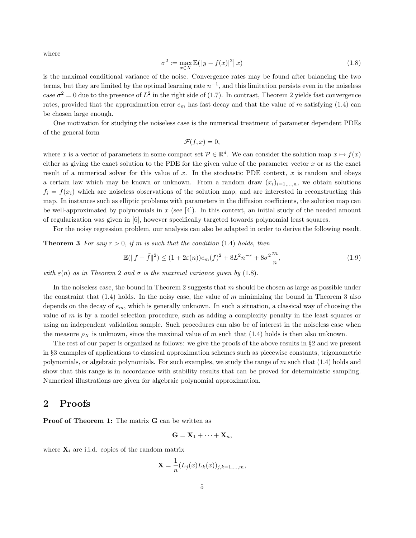where

$$
\sigma^2 := \max_{x \in X} \mathbb{E}(|y - f(x)|^2 | x)
$$
\n(1.8)

is the maximal conditional variance of the noise. Convergence rates may be found after balancing the two terms, but they are limited by the optimal learning rate  $n^{-1}$ , and this limitation persists even in the noiseless case  $\sigma^2 = 0$  due to the presence of  $L^2$  in the right side of (1.7). In contrast, Theorem 2 yields fast convergence rates, provided that the approximation error  $e_m$  has fast decay and that the value of m satisfying (1.4) can be chosen large enough.

One motivation for studying the noiseless case is the numerical treatment of parameter dependent PDEs of the general form

$$
\mathcal{F}(f,x)=0,
$$

where x is a vector of parameters in some compact set  $P \in \mathbb{R}^d$ . We can consider the solution map  $x \mapsto f(x)$ either as giving the exact solution to the PDE for the given value of the parameter vector  $x$  or as the exact result of a numerical solver for this value of x. In the stochastic PDE context, x is random and obeys a certain law which may be known or unknown. From a random draw  $(x_i)_{i=1,\dots,n}$ , we obtain solutions  $f_i = f(x_i)$  which are noiseless observations of the solution map, and are interested in reconstructing this map. In instances such as elliptic problems with parameters in the diffusion coefficients, the solution map can be well-approximated by polynomials in  $x$  (see [4]). In this context, an initial study of the needed amount of regularization was given in [6], however specifically targeted towards polynomial least squares.

For the noisy regression problem, our analysis can also be adapted in order to derive the following result.

**Theorem 3** For any  $r > 0$ , if m is such that the condition (1.4) holds, then

$$
\mathbb{E}(\|f - \tilde{f}\|^2) \le (1 + 2\varepsilon(n))e_m(f)^2 + 8L^2n^{-r} + 8\sigma^2\frac{m}{n},\tag{1.9}
$$

with  $\varepsilon(n)$  as in Theorem 2 and  $\sigma$  is the maximal variance given by (1.8).

In the noiseless case, the bound in Theorem 2 suggests that  $m$  should be chosen as large as possible under the constraint that  $(1.4)$  holds. In the noisy case, the value of m minimizing the bound in Theorem 3 also depends on the decay of  $e_m$ , which is generally unknown. In such a situation, a classical way of choosing the value of  $m$  is by a model selection procedure, such as adding a complexity penalty in the least squares or using an independent validation sample. Such procedures can also be of interest in the noiseless case when the measure  $\rho_X$  is unknown, since the maximal value of m such that (1.4) holds is then also unknown.

The rest of our paper is organized as follows: we give the proofs of the above results in §2 and we present in §3 examples of applications to classical approximation schemes such as piecewise constants, trigonometric polynomials, or algebraic polynomials. For such examples, we study the range of  $m$  such that  $(1.4)$  holds and show that this range is in accordance with stability results that can be proved for deterministic sampling. Numerical illustrations are given for algebraic polynomial approximation.

#### 2 Proofs

Proof of Theorem 1: The matrix G can be written as

$$
\mathbf{G} = \mathbf{X}_1 + \cdots + \mathbf{X}_n,
$$

where  $\mathbf{X}_i$  are i.i.d. copies of the random matrix

$$
\mathbf{X} = \frac{1}{n} (L_j(x)L_k(x))_{j,k=1,\dots,m},
$$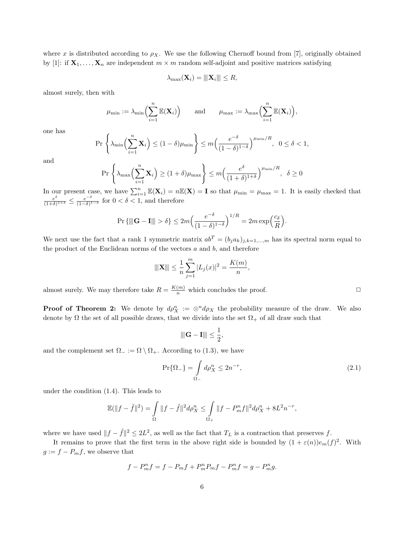where x is distributed according to  $\rho_X$ . We use the following Chernoff bound from [7], originally obtained by [1]: if  $X_1, \ldots, X_n$  are independent  $m \times m$  random self-adjoint and positive matrices satisfying

$$
\lambda_{\max}(\mathbf{X}_i) = \|\mathbf{X}_i\| \leq R,
$$

almost surely, then with

$$
\mu_{\min} := \lambda_{\min}\Big(\sum_{i=1}^n \mathbb{E}(\mathbf{X}_i)\Big) \quad \text{and} \quad \mu_{\max} := \lambda_{\max}\Big(\sum_{i=1}^n \mathbb{E}(\mathbf{X}_i)\Big),
$$

one has

$$
\Pr\left\{\lambda_{\min}\left(\sum_{i=1}^n \mathbf{X}_i\right) \le (1-\delta)\mu_{\min}\right\} \le m\left(\frac{e^{-\delta}}{(1-\delta)^{1-\delta}}\right)^{\mu_{\min}/R}, \ \ 0 \le \delta < 1,
$$

and

$$
\Pr\left\{\lambda_{\max}\left(\sum_{i=1}^n \mathbf{X}_i\right) \ge (1+\delta)\mu_{\max}\right\} \le m\left(\frac{e^{\delta}}{(1+\delta)^{1+\delta}}\right)^{\mu_{\min}/R}, \ \ \delta \ge 0
$$

In our present case, we have  $\sum_{i=1}^{n} \mathbb{E}(\mathbf{X}_i) = n \mathbb{E}(\mathbf{X}) = \mathbf{I}$  so that  $\mu_{\min} = \mu_{\max} = 1$ . It is easily checked that  $\frac{e^{\delta}}{(1+\delta)^{1+\delta}} \leq \frac{e^{-\delta}}{(1-\delta)^{1+\delta}}$  $\frac{e^{-\sigma}}{(1-\delta)^{1-\delta}}$  for  $0 < \delta < 1$ , and therefore

$$
\Pr\left\{\|\|\mathbf{G}-\mathbf{I}\|\right > \delta\right\} \leq 2m\left(\frac{e^{-\delta}}{(1-\delta)^{1-\delta}}\right)^{1/R} = 2m\exp\left(\frac{c_{\delta}}{R}\right).
$$

We next use the fact that a rank 1 symmetric matrix  $ab^T = (b_j a_k)_{j,k=1,\dots,m}$  has its spectral norm equal to the product of the Euclidean norms of the vectors  $a$  and  $b$ , and therefore

$$
\|\mathbf{X}\| \le \frac{1}{n} \sum_{j=1}^{m} |L_j(x)|^2 = \frac{K(m)}{n}
$$

almost surely. We may therefore take  $R = \frac{K(m)}{n}$  which concludes the proof.

**Proof of Theorem 2:** We denote by  $d\rho_X^n := \otimes^n d\rho_X$  the probability measure of the draw. We also denote by  $\Omega$  the set of all possible draws, that we divide into the set  $\Omega_+$  of all draw such that

$$
\left\|\mathbf{G}-\mathbf{I}\right\|\leq \frac{1}{2},
$$

and the complement set  $\Omega_{-} := \Omega \setminus \Omega_{+}$ . According to (1.3), we have

$$
\Pr\{\Omega_{-}\} = \int_{\Omega_{-}} d\rho_X^n \le 2n^{-r},\tag{2.1}
$$

,

under the condition (1.4). This leads to

$$
\mathbb{E}(\|f-\tilde{f}\|^2) = \int_{\Omega} \|f-\tilde{f}\|^2 d\rho_X^n \le \int_{\Omega_+} \|f-P_m^nf\|^2 d\rho_X^n + 8L^2 n^{-r},
$$

where we have used  $||f - \tilde{f}||^2 \leq 2L^2$ , as well as the fact that  $T_L$  is a contraction that preserves f.

It remains to prove that the first term in the above right side is bounded by  $(1 + \varepsilon(n))e_m(f)^2$ . With  $g := f - P_m f$ , we observe that

$$
f - P_m^n f = f - P_m f + P_m^n P_m f - P_m^n f = g - P_m^n g.
$$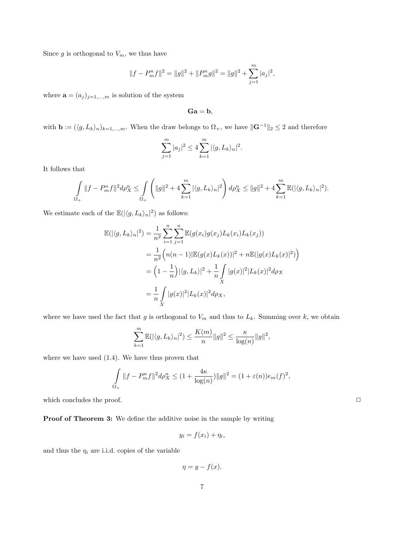Since  $g$  is orthogonal to  $V_m$ , we thus have

$$
||f - P_m^n f||^2 = ||g||^2 + ||P_m^n g||^2 = ||g||^2 + \sum_{j=1}^m |a_j|^2,
$$

where  $\mathbf{a} = (a_j)_{j=1,\dots,m}$  is solution of the system

$$
\mathbf{Ga}=\mathbf{b},
$$

with  $\mathbf{b} := (\langle g, L_k \rangle_n)_{k=1,\dots,m}$ . When the draw belongs to  $\Omega_+$ , we have  $\|\mathbf{G}^{-1}\|_2 \leq 2$  and therefore

$$
\sum_{j=1}^m |a_j|^2 \le 4 \sum_{k=1}^m |\langle g, L_k \rangle_n|^2.
$$

It follows that

$$
\int_{\Omega_+} ||f - P_m^n f||^2 d\rho_X^n \le \int_{\Omega_+} \left( ||g||^2 + 4 \sum_{k=1}^m |\langle g, L_k \rangle_n|^2 \right) d\rho_X^n \le ||g||^2 + 4 \sum_{k=1}^m \mathbb{E}(|\langle g, L_k \rangle_n|^2).
$$

We estimate each of the  $\mathbb{E}(|\langle g, L_k \rangle_n|^2)$  as follows:

$$
\mathbb{E}(|\langle g, L_{k} \rangle_{n}|^{2}) = \frac{1}{n^{2}} \sum_{i=1}^{n} \sum_{j=1}^{n} \mathbb{E}(g(x_{i})g(x_{j})L_{k}(x_{i})L_{k}(x_{j}))
$$
  
\n
$$
= \frac{1}{n^{2}} \Big(n(n-1)|\mathbb{E}(g(x)L_{k}(x))|^{2} + n\mathbb{E}(|g(x)L_{k}(x)|^{2})\Big)
$$
  
\n
$$
= \Big(1 - \frac{1}{n}\Big)|\langle g, L_{k}\rangle|^{2} + \frac{1}{n} \int_{X} |g(x)|^{2}|L_{k}(x)|^{2} d\rho_{X}
$$
  
\n
$$
= \frac{1}{n} \int_{X} |g(x)|^{2}|L_{k}(x)|^{2} d\rho_{X},
$$

where we have used the fact that g is orthogonal to  $V_m$  and thus to  $L_k$ . Summing over k, we obtain

$$
\sum_{k=1}^m \mathbb{E}(|\langle g, L_k\rangle_n|^2) \le \frac{K(m)}{n} \|g\|^2 \le \frac{\kappa}{\log(n)} \|g\|^2,
$$

where we have used (1.4). We have thus proven that

$$
\int_{\Omega_+} ||f - P_m^n f||^2 d\rho_X^n \le (1 + \frac{4\kappa}{\log(n)}) ||g||^2 = (1 + \varepsilon(n))e_m(f)^2,
$$

which concludes the proof.  $\Box$ 

Proof of Theorem 3: We define the additive noise in the sample by writing

$$
y_i = f(x_i) + \eta_i,
$$

and thus the  $\eta_i$  are i.i.d. copies of the variable

$$
\eta = y - f(x).
$$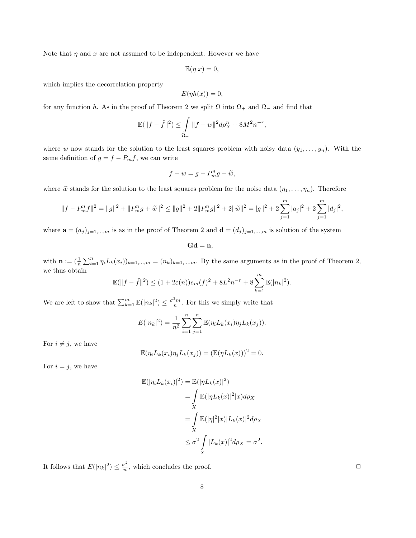Note that  $\eta$  and  $x$  are not assumed to be independent. However we have

$$
\mathbb{E}(\eta|x) = 0,
$$

which implies the decorrelation property

$$
E(\eta h(x)) = 0,
$$

for any function h. As in the proof of Theorem 2 we split  $\Omega$  into  $\Omega_+$  and  $\Omega_-$  and find that

$$
\mathbb{E}(\|f - \tilde{f}\|^2) \le \int_{\Omega_+} \|f - w\|^2 d\rho_X^n + 8M^2 n^{-r},
$$

where w now stands for the solution to the least squares problem with noisy data  $(y_1, \ldots, y_n)$ . With the same definition of  $g = f - P_m f$ , we can write

$$
f - w = g - P_m^n g - \widetilde{w},
$$

where  $\tilde{w}$  stands for the solution to the least squares problem for the noise data  $(\eta_1, \ldots, \eta_n)$ . Therefore

$$
||f - P_m^n f||^2 = ||g||^2 + ||P_m^n g + \widetilde{w}||^2 \le ||g||^2 + 2||P_m^n g||^2 + 2||\widetilde{w}||^2 = |g||^2 + 2\sum_{j=1}^m |a_j|^2 + 2\sum_{j=1}^m |d_j|^2,
$$

where  $\mathbf{a} = (a_j)_{j=1,\dots,m}$  is as in the proof of Theorem 2 and  $\mathbf{d} = (d_j)_{j=1,\dots,m}$  is solution of the system

 $Gd = n$ ,

with  $\mathbf{n} := (\frac{1}{n} \sum_{i=1}^n \eta_i L_k(x_i))_{k=1,\dots,m} = (n_k)_{k=1,\dots,m}$ . By the same arguments as in the proof of Theorem 2, we thus obtain

$$
\mathbb{E}(\|f - \tilde{f}\|^2) \le (1 + 2\varepsilon(n))e_m(f)^2 + 8L^2n^{-r} + 8\sum_{k=1}^m \mathbb{E}(|n_k|^2).
$$

We are left to show that  $\sum_{k=1}^m \mathbb{E}(|n_k|^2) \leq \frac{\sigma^2 m}{n}$ . For this we simply write that

$$
E(|n_k|^2) = \frac{1}{n^2} \sum_{i=1}^n \sum_{j=1}^n \mathbb{E}(\eta_i L_k(x_i) \eta_j L_k(x_j)).
$$

For  $i \neq j$ , we have

$$
\mathbb{E}(\eta_i L_k(x_i)\eta_j L_k(x_j)) = (\mathbb{E}(\eta L_k(x)))^2 = 0.
$$

For  $i = j$ , we have

$$
\mathbb{E}(|\eta_i L_k(x_i)|^2) = \mathbb{E}(|\eta L_k(x)|^2)
$$
  
= 
$$
\int_{X} \mathbb{E}(|\eta L_k(x)|^2 |x) d\rho_X
$$
  
= 
$$
\int_{X} \mathbb{E}(|\eta|^2 |x) |L_k(x)|^2 d\rho_X
$$
  

$$
\leq \sigma^2 \int_{X} |L_k(x)|^2 d\rho_X = \sigma^2.
$$

It follows that  $E(|n_k|^2) \leq \frac{\sigma^2}{n}$  $\frac{\tau^2}{n}$ , which concludes the proof.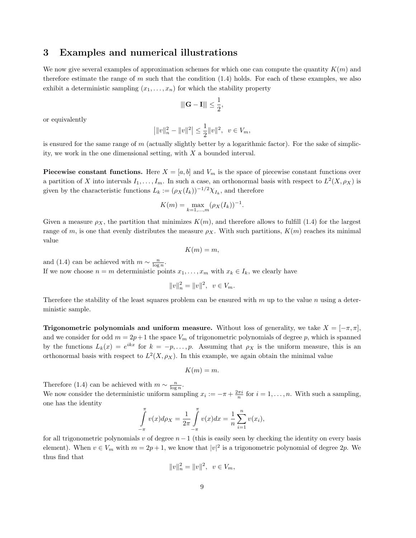#### 3 Examples and numerical illustrations

We now give several examples of approximation schemes for which one can compute the quantity  $K(m)$  and therefore estimate the range of  $m$  such that the condition  $(1.4)$  holds. For each of these examples, we also exhibit a deterministic sampling  $(x_1, \ldots, x_n)$  for which the stability property

$$
\left\|\mathbf{G}-\mathbf{I}\right\|\leq \frac{1}{2},
$$

or equivalently

$$
\left| \|v\|_n^2 - \|v\|^2 \right| \le \frac{1}{2} \|v\|^2, \ v \in V_m,
$$

is ensured for the same range of  $m$  (actually slightly better by a logarithmic factor). For the sake of simplicity, we work in the one dimensional setting, with  $X$  a bounded interval.

**Piecewise constant functions.** Here  $X = [a, b]$  and  $V_m$  is the space of piecewise constant functions over a partition of X into intervals  $I_1, \ldots, I_m$ . In such a case, an orthonormal basis with respect to  $L^2(X, \rho_X)$  is given by the characteristic functions  $L_k := (\rho_X(I_k))^{-1/2} \chi_{I_k}$ , and therefore

$$
K(m) = \max_{k=1,\dots,m} (\rho_X(I_k))^{-1}.
$$

Given a measure  $\rho_X$ , the partition that minimizes  $K(m)$ , and therefore allows to fulfill (1.4) for the largest range of m, is one that evenly distributes the measure  $\rho_X$ . With such partitions,  $K(m)$  reaches its minimal value

$$
K(m)=m,
$$

and (1.4) can be achieved with  $m \sim \frac{n}{\log n}$ . If we now choose  $n = m$  deterministic points  $x_1, \ldots, x_m$  with  $x_k \in I_k$ , we clearly have

$$
||v||_n^2 = ||v||^2, \ \ v \in V_m.
$$

Therefore the stability of the least squares problem can be ensured with  $m$  up to the value n using a deterministic sample.

**Trigonometric polynomials and uniform measure.** Without loss of generality, we take  $X = [-\pi, \pi]$ , and we consider for odd  $m = 2p + 1$  the space  $V_m$  of trigonometric polynomials of degree p, which is spanned by the functions  $L_k(x) = e^{ikx}$  for  $k = -p, \ldots, p$ . Assuming that  $\rho_X$  is the uniform measure, this is an orthonormal basis with respect to  $L^2(X, \rho_X)$ . In this example, we again obtain the minimal value

$$
K(m)=m.
$$

Therefore (1.4) can be achieved with  $m \sim \frac{n}{\log n}$ .

We now consider the deterministic uniform sampling  $x_i := -\pi + \frac{2\pi i}{n}$  for  $i = 1, \ldots, n$ . With such a sampling, one has the identity

$$
\int_{-\pi}^{\pi} v(x) d\rho_X = \frac{1}{2\pi} \int_{-\pi}^{\pi} v(x) dx = \frac{1}{n} \sum_{i=1}^{n} v(x_i),
$$

for all trigonometric polynomials v of degree  $n-1$  (this is easily seen by checking the identity on every basis element). When  $v \in V_m$  with  $m = 2p + 1$ , we know that  $|v|^2$  is a trigonometric polynomial of degree  $2p$ . We thus find that

$$
||v||_n^2 = ||v||^2, \ \ v \in V_m,
$$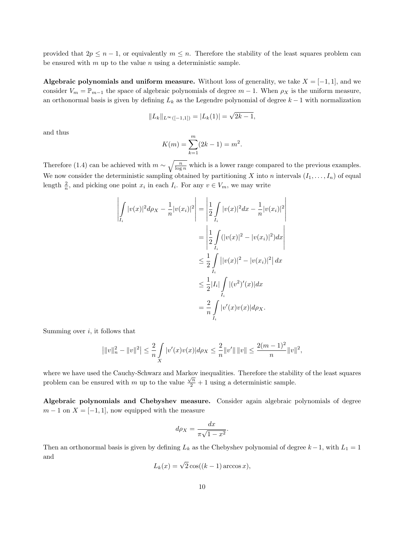provided that  $2p \leq n-1$ , or equivalently  $m \leq n$ . Therefore the stability of the least squares problem can be ensured with  $m$  up to the value  $n$  using a deterministic sample.

Algebraic polynomials and uniform measure. Without loss of generality, we take  $X = [-1, 1]$ , and we consider  $V_m = \mathbb{P}_{m-1}$  the space of algebraic polynomials of degree  $m-1$ . When  $\rho_X$  is the uniform measure, an orthonormal basis is given by defining  $L_k$  as the Legendre polynomial of degree  $k-1$  with normalization

$$
||L_k||_{L^{\infty}([-1,1])} = |L_k(1)| = \sqrt{2k-1},
$$

and thus

$$
K(m) = \sum_{k=1}^{m} (2k - 1) = m^2.
$$

Therefore (1.4) can be achieved with  $m \sim \sqrt{\frac{n}{\log n}}$  which is a lower range compared to the previous examples. We now consider the deterministic sampling obtained by partitioning X into n intervals  $(I_1, \ldots, I_n)$  of equal length  $\frac{2}{n}$ , and picking one point  $x_i$  in each  $I_i$ . For any  $v \in V_m$ , we may write

$$
\left| \int_{I_i} |v(x)|^2 d\rho_X - \frac{1}{n} |v(x_i)|^2 \right| = \left| \frac{1}{2} \int_{I_i} |v(x)|^2 dx - \frac{1}{n} |v(x_i)|^2 \right|
$$
  
\n
$$
= \left| \frac{1}{2} \int_{I_i} (|v(x)|^2 - |v(x_i)|^2) dx \right|
$$
  
\n
$$
\leq \frac{1}{2} \int_{I_i} |v(x)|^2 - |v(x_i)|^2 dx
$$
  
\n
$$
\leq \frac{1}{2} |I_i| \int_{I_i} |(v^2)'(x)| dx
$$
  
\n
$$
= \frac{2}{n} \int_{I_i} |v'(x)v(x)| d\rho_X.
$$

Summing over  $i$ , it follows that

$$
\left| \|v\|_n^2 - \|v\|^2 \right| \le \frac{2}{n} \int\limits_X |v'(x)v(x)| d\rho_X \le \frac{2}{n} \|v'\| \|v\| \le \frac{2(m-1)^2}{n} \|v\|^2,
$$

where we have used the Cauchy-Schwarz and Markov inequalities. Therefore the stability of the least squares problem can be ensured with m up to the value  $\frac{\sqrt{n}}{2} + 1$  using a deterministic sample.

Algebraic polynomials and Chebyshev measure. Consider again algebraic polynomials of degree  $m-1$  on  $X = [-1, 1]$ , now equipped with the measure

$$
d\rho_X = \frac{dx}{\pi\sqrt{1-x^2}}.
$$

Then an orthonormal basis is given by defining  $L_k$  as the Chebyshev polynomial of degree  $k-1$ , with  $L_1 = 1$ and

$$
L_k(x) = \sqrt{2}\cos((k-1)\arccos x),
$$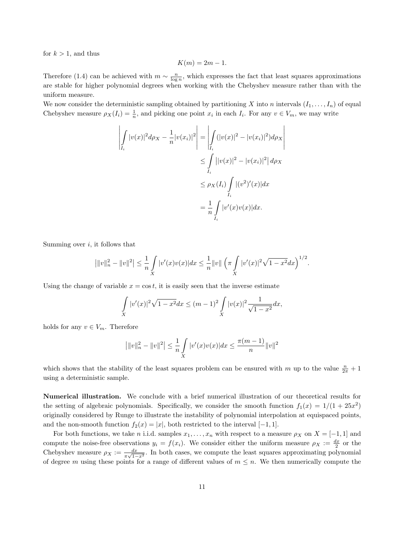for  $k > 1$ , and thus

$$
K(m) = 2m - 1.
$$

Therefore (1.4) can be achieved with  $m \sim \frac{n}{\log n}$ , which expresses the fact that least squares approximations are stable for higher polynomial degrees when working with the Chebyshev measure rather than with the uniform measure.

We now consider the deterministic sampling obtained by partitioning X into n intervals  $(I_1, \ldots, I_n)$  of equal Chebyshev measure  $\rho_X(I_i) = \frac{1}{n}$ , and picking one point  $x_i$  in each  $I_i$ . For any  $v \in V_m$ , we may write

$$
\left| \int_{I_i} |v(x)|^2 d\rho_X - \frac{1}{n} |v(x_i)|^2 \right| = \left| \int_{I_i} (|v(x)|^2 - |v(x_i)|^2) d\rho_X \right|
$$
  
\n
$$
\leq \int_{I_i} ||v(x)|^2 - |v(x_i)|^2 | d\rho_X
$$
  
\n
$$
\leq \rho_X(I_i) \int_{I_i} |(v^2)'(x)| dx
$$
  
\n
$$
= \frac{1}{n} \int_{I_i} |v'(x)v(x)| dx.
$$

Summing over  $i$ , it follows that

$$
\left| \|v\|_n^2 - \|v\|^2 \right| \leq \frac{1}{n} \int\limits_X |v'(x)v(x)| dx \leq \frac{1}{n} \|v\| \left( \pi \int\limits_X |v'(x)|^2 \sqrt{1-x^2} dx \right)^{1/2}.
$$

Using the change of variable  $x = \cos t$ , it is easily seen that the inverse estimate

$$
\int_{X} |v'(x)|^2 \sqrt{1 - x^2} dx \le (m - 1)^2 \int_{X} |v(x)|^2 \frac{1}{\sqrt{1 - x^2}} dx,
$$

holds for any  $v \in V_m$ . Therefore

$$
\left| \|v\|_n^2 - \|v\|^2 \right| \le \frac{1}{n} \int\limits_X |v'(x)v(x)| dx \le \frac{\pi(m-1)}{n} \|v\|^2
$$

which shows that the stability of the least squares problem can be ensured with m up to the value  $\frac{n}{2\pi}+1$ using a deterministic sample.

Numerical illustration. We conclude with a brief numerical illustration of our theoretical results for the setting of algebraic polynomials. Specifically, we consider the smooth function  $f_1(x) = 1/(1 + 25x^2)$ originally considered by Runge to illustrate the instability of polynomial interpolation at equispaced points, and the non-smooth function  $f_2(x) = |x|$ , both restricted to the interval  $[-1, 1]$ .

For both functions, we take n i.i.d. samples  $x_1, \ldots, x_n$  with respect to a measure  $\rho_X$  on  $X = [-1, 1]$  and compute the noise-free observations  $y_i = f(x_i)$ . We consider either the uniform measure  $\rho_X := \frac{dx}{2}$  or the Chebyshev measure  $\rho_X := \frac{dx}{\pi\sqrt{1-x^2}}$ . In both cases, we compute the least squares approximating polynomial of degree m using these points for a range of different values of  $m \leq n$ . We then numerically compute the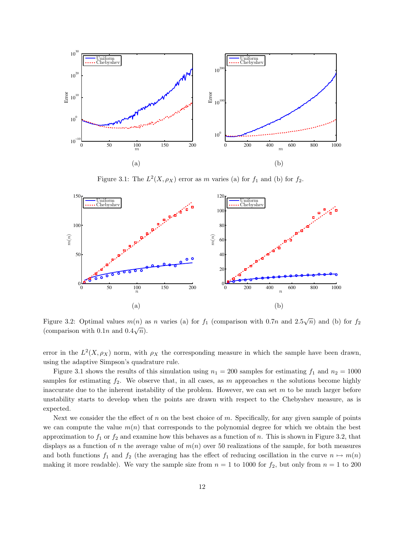

Figure 3.1: The  $L^2(X, \rho_X)$  error as m varies (a) for  $f_1$  and (b) for  $f_2$ .



Figure 3.2: Optimal values  $m(n)$  as n varies (a) for  $f_1$  (comparison with 0.7n and 2.5 $\sqrt{n}$ ) and (b) for  $f_2$ (comparison with  $0.1n$  and  $0.4\sqrt{n}$ ).

error in the  $L^2(X, \rho_X)$  norm, with  $\rho_X$  the corresponding measure in which the sample have been drawn, using the adaptive Simpson's quadrature rule.

Figure 3.1 shows the results of this simulation using  $n_1 = 200$  samples for estimating  $f_1$  and  $n_2 = 1000$ samples for estimating  $f_2$ . We observe that, in all cases, as m approaches n the solutions become highly inaccurate due to the inherent instability of the problem. However, we can set  $m$  to be much larger before unstability starts to develop when the points are drawn with respect to the Chebyshev measure, as is expected.

Next we consider the the effect of  $n$  on the best choice of  $m$ . Specifically, for any given sample of points we can compute the value  $m(n)$  that corresponds to the polynomial degree for which we obtain the best approximation to  $f_1$  or  $f_2$  and examine how this behaves as a function of n. This is shown in Figure 3.2, that displays as a function of n the average value of  $m(n)$  over 50 realizations of the sample, for both measures and both functions  $f_1$  and  $f_2$  (the averaging has the effect of reducing oscillation in the curve  $n \mapsto m(n)$ making it more readable). We vary the sample size from  $n = 1$  to 1000 for  $f_2$ , but only from  $n = 1$  to 200